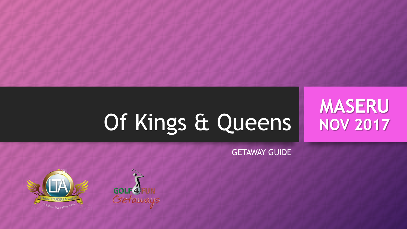# Of Kings & Queens

GETAWAY GUIDE

**MASERU**

**NOV 2017**



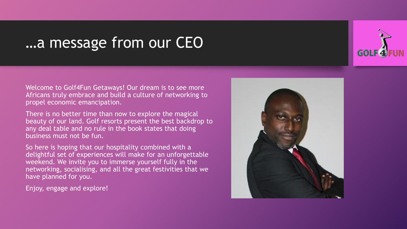### …a message from our CEO

Welcome to Golf4Fun Getaways! Our dream is to see more Africans truly embrace and build a culture of networking to propel economic emancipation.

There is no better time than now to explore the magical beauty of our land. Golf resorts present the best backdrop to any deal table and no rule in the book states that doing business must not be fun.

So here is hoping that our hospitality combined with a delightful set of experiences will make for an unforgettable weekend. We invite you to immerse yourself fully in the networking, socialising, and all the great festivities that we have planned for you.

Enjoy, engage and explore!



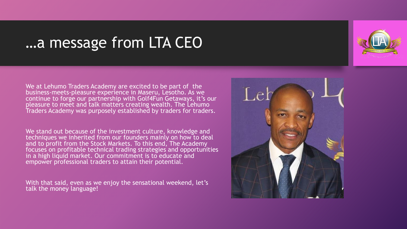### …a message from LTA CEO



We at Lehumo Traders Academy are excited to be part of the business-meets-pleasure experience in Maseru, Lesotho. As we continue to forge our partnership with Golf4Fun Getaways, it's our pleasure to meet and talk matters creating wealth. The Lehumo Traders Academy was purposely established by traders for traders.

We stand out because of the investment culture, knowledge and techniques we inherited from our founders mainly on how to deal and to profit from the Stock Markets. To this end, The Academy focuses on profitable technical trading strategies and opportunities in a high liquid market. Our commitment is to educate and empower professional traders to attain their potential.

With that said, even as we enjoy the sensational weekend, let's talk the money language!

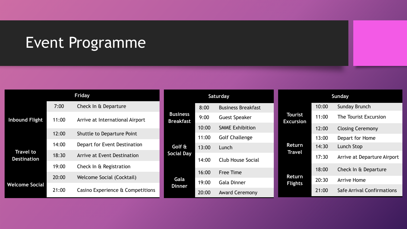### Event Programme

|                                        |       | Friday                            |
|----------------------------------------|-------|-----------------------------------|
| <b>Inbound Flight</b>                  | 7:00  | Check In & Departure              |
|                                        | 11:00 | Arrive at International Airport   |
|                                        | 12:00 | <b>Shuttle to Departure Point</b> |
| <b>Travel to</b><br><b>Destination</b> | 14:00 | Depart for Event Destination      |
|                                        | 18:30 | Arrive at Event Destination       |
|                                        | 19:00 | Check In & Registration           |
| <b>Welcome Social</b>                  | 20:00 | <b>Welcome Social (Cocktail)</b>  |
|                                        | 21:00 | Casino Experience & Competitions  |

| Saturday                                               |       | Sunday                    |                             |       |                             |
|--------------------------------------------------------|-------|---------------------------|-----------------------------|-------|-----------------------------|
| <b>Business</b><br><b>Breakfast</b>                    | 8:00  | <b>Business Breakfast</b> | Tourist<br><b>Excursion</b> | 10:00 | <b>Sunday Brunch</b>        |
|                                                        | 9:00  | <b>Guest Speaker</b>      |                             | 11:00 | The Tourist Excursion       |
|                                                        | 10:00 | <b>SMME Exhibition</b>    |                             | 12:00 | <b>Closing Ceremony</b>     |
| 11:00<br>Golf &<br>13:00<br><b>Social Day</b><br>14:00 |       | <b>Golf Challenge</b>     | Return<br><b>Travel</b>     | 13:00 | Depart for Home             |
|                                                        |       | Lunch                     |                             | 14:30 | Lunch Stop                  |
|                                                        |       | Club House Social         |                             | 17:30 | Arrive at Departure Airport |
| Gala<br><b>Dinner</b>                                  | 16:00 | <b>Free Time</b>          | Return<br><b>Flights</b>    | 18:00 | Check In & Departure        |
|                                                        | 19:00 | <b>Gala Dinner</b>        |                             | 20:30 | <b>Arrive Home</b>          |
|                                                        | 20:00 | <b>Award Ceremony</b>     |                             | 21:00 | Safe Arrival Confirmations  |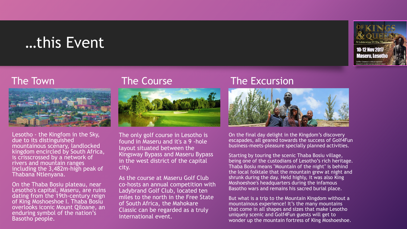### …this Event

#### The Town



Lesotho - the Kingfom in the Sky, due to its distinguished mountainous scenary, landlocked kingdom encircled by South Africa, is crisscrossed by a network of rivers and mountain ranges including the 3,482m-high peak of Thabana Ntlenyana.

On the Thaba Bosiu plateau, near Lesotho's capital, Maseru, are ruins dating from the 19th-century reign of King Moshoeshoe I. Thaba Bosiu overlooks iconic Mount Qiloane, an enduring symbol of the nation's Basotho people.

#### The Course



The only golf course in Lesotho is found in Maseru and it's a 9 -hole layout situated between the Kingsway Bypass and Maseru Bypass in the west district of the capital city.

As the course at Maseru Golf Club co-hosts an annual competition with Ladybrand Golf Club, located ten miles to the north in the Free State of South Africa, the Mahokare Classic can be regarded as a truly international event.

#### The Excursion



On the final day delight in the Kingdom's discovery escapades, all geared towards the success of Golf4Fun business-meets-pleasure specially planned activities.

Starting by touring the scenic Thaba Bosiu village, being one of the custodians of Lesotho's rich heritage. Thaba Bosiu means "Mountain of the night" is behind the local folktale that the mountain grew at night and shrunk during the day. Held highly, it was also King Moshoeshoe's headquarters during the infamous Basotho wars and remains his sacred burial place.

But what is a trip to the Mountain Kingdom without a mountainous experience! It's the many mountains that come in all shapes and sizes that make Lesotho uniquely scenic and Golf4Fun guests will get to wonder up the mountain fortress of King Moshoeshoe.

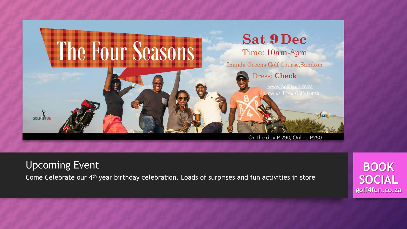

Upcoming Event

Come Celebrate our 4th year birthday celebration. Loads of surprises and fun activities in store

**BOOK SOCIAL golf4fun.co.za**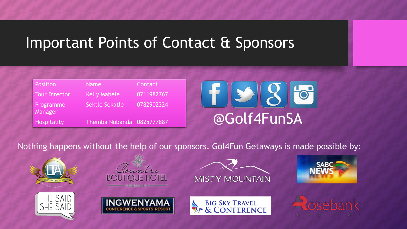# Important Points of Contact & Sponsors

| <b>Position</b>      | <b>Name</b>               | Contact    |
|----------------------|---------------------------|------------|
| Tour Director        | <b>Kelly Mabele</b>       | 0711982767 |
| Programme<br>Manager | Sektle Sekatle            | 0782902324 |
| Hospitality          | Themba Nobanda 0825777887 |            |



Nothing happens without the help of our sponsors. Gol4Fun Getaways is made possible by:













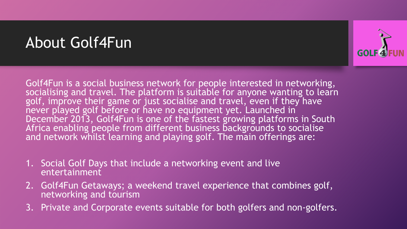# About Golf4Fun



Golf4Fun is a social business network for people interested in networking, socialising and travel. The platform is suitable for anyone wanting to learn golf, improve their game or just socialise and travel, even if they have never played golf before or have no equipment yet. Launched in December 2013, Golf4Fun is one of the fastest growing platforms in South Africa enabling people from different business backgrounds to socialise and network whilst learning and playing golf. The main offerings are:

- 1. Social Golf Days that include a networking event and live entertainment
- 2. Golf4Fun Getaways; a weekend travel experience that combines golf, networking and tourism
- 3. Private and Corporate events suitable for both golfers and non-golfers.